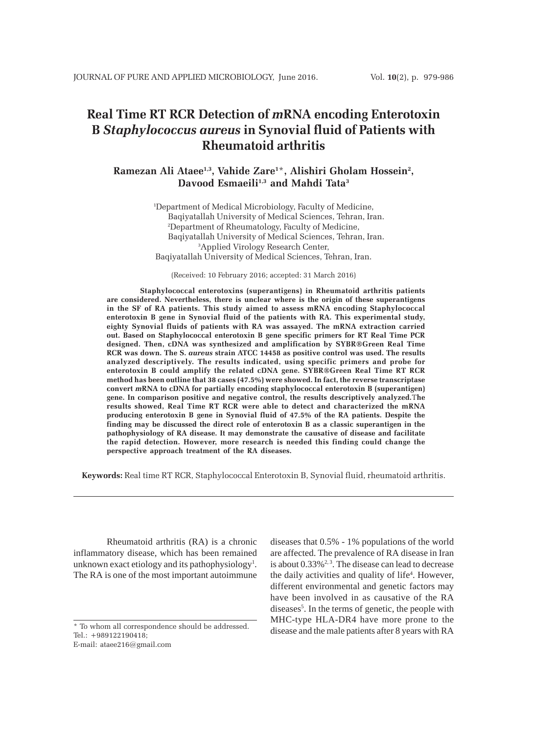# **Real Time RT RCR Detection of** *m***RNA encoding Enterotoxin B** *Staphylococcus aureus* **in Synovial fluid of Patients with Rheumatoid arthritis**

# **Ramezan Ali Ataee1,3, Vahide Zare1** \***, Alishiri Gholam Hossein2 ,** Davood Esmaeili<sup>1,3</sup> and Mahdi Tata<sup>3</sup>

1 Department of Medical Microbiology, Faculty of Medicine, Baqiyatallah University of Medical Sciences, Tehran, Iran. 2 Department of Rheumatology, Faculty of Medicine, Baqiyatallah University of Medical Sciences, Tehran, Iran. 3 Applied Virology Research Center, Baqiyatallah University of Medical Sciences, Tehran, Iran.

(Received: 10 February 2016; accepted: 31 March 2016)

**Staphylococcal enterotoxins (superantigens) in Rheumatoid arthritis patients are considered. Nevertheless, there is unclear where is the origin of these superantigens in the SF of RA patients. This study aimed to assess mRNA encoding Staphylococcal enterotoxin B gene in Synovial fluid of the patients with RA. This experimental study, eighty Synovial fluids of patients with RA was assayed. The mRNA extraction carried out. Based on Staphylococcal enterotoxin B gene specific primers for RT Real Time PCR designed. Then, cDNA was synthesized and amplification by SYBR®Green Real Time RCR was down. The S.** *aureus* **strain ATCC 14458 as positive control was used. The results analyzed descriptively. The results indicated, using specific primers and probe for enterotoxin B could amplify the related cDNA gene. SYBR®Green Real Time RT RCR method has been outline that 38 cases (47.5%) were showed. In fact, the reverse transcriptase convert** *m***RNA to cDNA for partially encoding staphylococcal enterotoxin B (superantigen) gene. In comparison positive and negative control, the results descriptively analyzed.**T**he results showed, Real Time RT RCR were able to detect and characterized the mRNA producing enterotoxin B gene in Synovial fluid of 47.5% of the RA patients. Despite the finding may be discussed the direct role of enterotoxin B as a classic superantigen in the pathophysiology of RA disease. It may demonstrate the causative of disease and facilitate the rapid detection. However, more research is needed this finding could change the perspective approach treatment of the RA diseases.**

**Keywords:** Real time RT RCR, Staphylococcal Enterotoxin B, Synovial fluid, rheumatoid arthritis.

Rheumatoid arthritis (RA) is a chronic inflammatory disease, which has been remained unknown exact etiology and its pathophysiology<sup>1</sup>. The RA is one of the most important autoimmune

\* To whom all correspondence should be addressed. Tel.: +989122190418; E-mail: ataee216@gmail.com

diseases that 0.5% - 1% populations of the world are affected. The prevalence of RA disease in Iran is about  $0.33\%^{2,3}$ . The disease can lead to decrease the daily activities and quality of life<sup>4</sup>. However, different environmental and genetic factors may have been involved in as causative of the RA diseases<sup>5</sup>. In the terms of genetic, the people with MHC-type HLA-DR4 have more prone to the disease and the male patients after 8 years with RA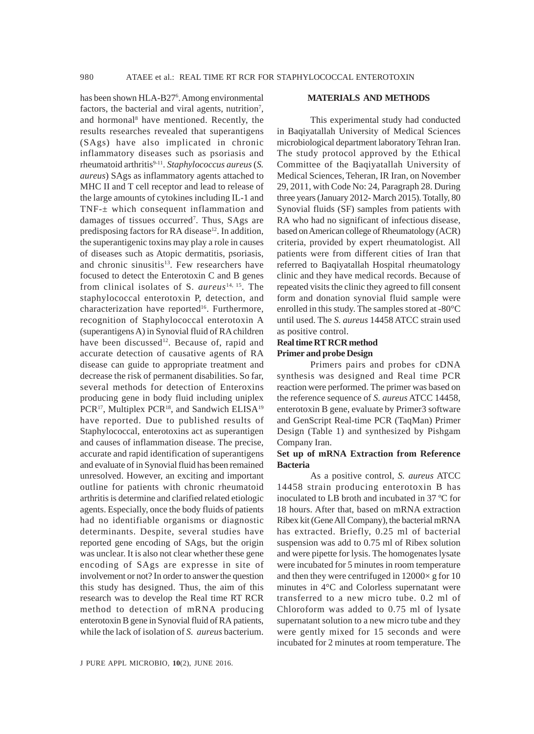has been shown HLA-B27<sup>6</sup>. Among environmental factors, the bacterial and viral agents, nutrition<sup>7</sup>, and hormonal<sup>8</sup> have mentioned. Recently, the results researches revealed that superantigens (SAgs) have also implicated in chronic inflammatory diseases such as psoriasis and rheumatoid arthritis<sup>9-11</sup>. *Staphylococcus aureus* (*S*. *aureus*) SAgs as inflammatory agents attached to MHC II and T cell receptor and lead to release of the large amounts of cytokines including IL-1 and TNF-± which consequent inflammation and damages of tissues occurred<sup>7</sup>. Thus, SAgs are predisposing factors for RA disease<sup>12</sup>. In addition, the superantigenic toxins may play a role in causes of diseases such as Atopic dermatitis, psoriasis, and chronic sinusitis<sup>13</sup>. Few researchers have focused to detect the Enterotoxin C and B genes from clinical isolates of S. *aureus*14, 15. The staphylococcal enterotoxin P, detection, and characterization have reported<sup>16</sup>. Furthermore, recognition of Staphylococcal enterotoxin A (superantigens A) in Synovial fluid of RA children have been discussed<sup>12</sup>. Because of, rapid and accurate detection of causative agents of RA disease can guide to appropriate treatment and decrease the risk of permanent disabilities. So far, several methods for detection of Enteroxins producing gene in body fluid including uniplex PCR<sup>17</sup>, Multiplex PCR<sup>18</sup>, and Sandwich ELISA<sup>19</sup> have reported. Due to published results of Staphylococcal, enterotoxins act as superantigen and causes of inflammation disease. The precise, accurate and rapid identification of superantigens and evaluate of in Synovial fluid has been remained unresolved. However, an exciting and important outline for patients with chronic rheumatoid arthritis is determine and clarified related etiologic agents. Especially, once the body fluids of patients had no identifiable organisms or diagnostic determinants. Despite, several studies have reported gene encoding of SAgs, but the origin was unclear. It is also not clear whether these gene encoding of SAgs are expresse in site of involvement or not? In order to answer the question this study has designed. Thus, the aim of this research was to develop the Real time RT RCR method to detection of mRNA producing enterotoxin B gene in Synovial fluid of RA patients, while the lack of isolation of *S. aureus* bacterium.

#### **MATERIALS AND METHODS**

This experimental study had conducted in Baqiyatallah University of Medical Sciences microbiological department laboratory Tehran Iran. The study protocol approved by the Ethical Committee of the Baqiyatallah University of Medical Sciences, Teheran, IR Iran, on November 29, 2011, with Code No: 24, Paragraph 28. During three years (January 2012- March 2015). Totally, 80 Synovial fluids (SF) samples from patients with RA who had no significant of infectious disease, based on American college of Rheumatology (ACR) criteria, provided by expert rheumatologist. All patients were from different cities of Iran that referred to Baqiyatallah Hospital rheumatology clinic and they have medical records. Because of repeated visits the clinic they agreed to fill consent form and donation synovial fluid sample were enrolled in this study. The samples stored at -80°C until used. The *S. aureus* 14458 ATCC strain used as positive control.

## **Real time RT RCR method Primer and probe Design**

Primers pairs and probes for cDNA synthesis was designed and Real time PCR reaction were performed. The primer was based on the reference sequence of *S. aureus* ATCC 14458, enterotoxin B gene, evaluate by Primer3 software and GenScript Real-time PCR (TaqMan) Primer Design (Table 1) and synthesized by Pishgam Company Iran.

## **Set up of mRNA Extraction from Reference Bacteria**

As a positive control, *S. aureus* ATCC 14458 strain producing enterotoxin B has inoculated to LB broth and incubated in 37 ºC for 18 hours. After that, based on mRNA extraction Ribex kit (Gene All Company), the bacterial mRNA has extracted. Briefly, 0.25 ml of bacterial suspension was add to 0.75 ml of Ribex solution and were pipette for lysis. The homogenates lysate were incubated for 5 minutes in room temperature and then they were centrifuged in  $12000 \times g$  for 10 minutes in 4°C and Colorless supernatant were transferred to a new micro tube. 0.2 ml of Chloroform was added to 0.75 ml of lysate supernatant solution to a new micro tube and they were gently mixed for 15 seconds and were incubated for 2 minutes at room temperature. The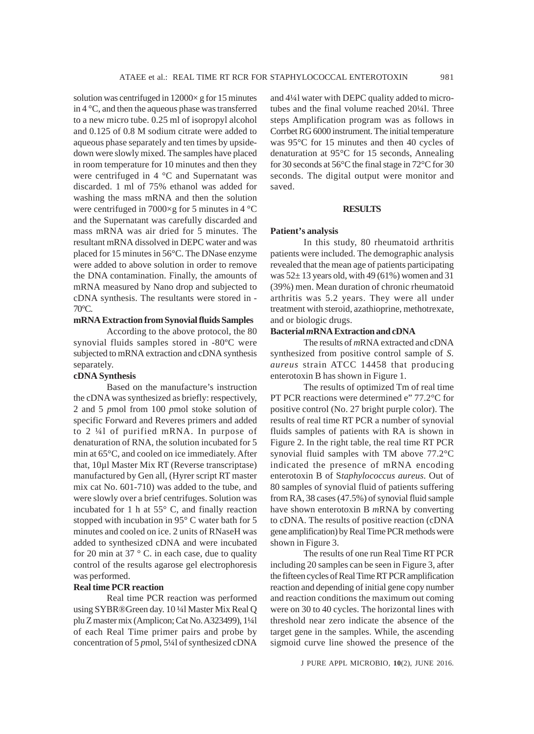solution was centrifuged in  $12000 \times g$  for 15 minutes in 4 °C, and then the aqueous phase was transferred to a new micro tube. 0.25 ml of isopropyl alcohol and 0.125 of 0.8 M sodium citrate were added to aqueous phase separately and ten times by upsidedown were slowly mixed. The samples have placed in room temperature for 10 minutes and then they were centrifuged in 4 °C and Supernatant was discarded. 1 ml of 75% ethanol was added for washing the mass mRNA and then the solution were centrifuged in 7000×g for 5 minutes in 4 °C and the Supernatant was carefully discarded and mass mRNA was air dried for 5 minutes. The resultant mRNA dissolved in DEPC water and was placed for 15 minutes in 56°C. The DNase enzyme were added to above solution in order to remove the DNA contamination. Finally, the amounts of mRNA measured by Nano drop and subjected to cDNA synthesis. The resultants were stored in - 70°C.

## **mRNA Extraction from Synovial fluids Samples**

According to the above protocol, the 80 synovial fluids samples stored in -80ºC were subjected to mRNA extraction and cDNA synthesis separately.

## **cDNA Synthesis**

Based on the manufacture's instruction the cDNA was synthesized as briefly: respectively, 2 and 5 *p*mol from 100 *p*mol stoke solution of specific Forward and Reveres primers and added to 2 ¼l of purified mRNA. In purpose of denaturation of RNA, the solution incubated for 5 min at 65°C, and cooled on ice immediately. After that, 10µl Master Mix RT (Reverse transcriptase) manufactured by Gen all, (Hyrer script RT master mix cat No. 601-710) was added to the tube, and were slowly over a brief centrifuges. Solution was incubated for 1 h at 55° C, and finally reaction stopped with incubation in 95° C water bath for 5 minutes and cooled on ice. 2 units of RNaseH was added to synthesized cDNA and were incubated for 20 min at 37  $\degree$  C. in each case, due to quality control of the results agarose gel electrophoresis was performed.

## **Real time PCR reaction**

Real time PCR reaction was performed using SYBR®Green day. 10 ¼l Master Mix Real Q plu Z master mix (Amplicon; Cat No. A323499), 1¼l of each Real Time primer pairs and probe by concentration of 5 *p*mol, 5¼l of synthesized cDNA and 4¼l water with DEPC quality added to microtubes and the final volume reached 20¼l. Three steps Amplification program was as follows in Corrbet RG 6000 instrument. The initial temperature was 95°C for 15 minutes and then 40 cycles of denaturation at 95°C for 15 seconds, Annealing for 30 seconds at 56°C the final stage in 72°C for 30 seconds. The digital output were monitor and saved.

#### **RESULTS**

#### **Patient's analysis**

In this study, 80 rheumatoid arthritis patients were included. The demographic analysis revealed that the mean age of patients participating was  $52 \pm 13$  years old, with 49 (61%) women and 31 (39%) men. Mean duration of chronic rheumatoid arthritis was 5.2 years. They were all under treatment with steroid, azathioprine, methotrexate, and or biologic drugs.

## **Bacterial** *m***RNA Extraction and cDNA**

The results of *m*RNA extracted and cDNA synthesized from positive control sample of *S. aureus* strain ATCC 14458 that producing enterotoxin B has shown in Figure 1.

The results of optimized Tm of real time PT PCR reactions were determined e" 77.2°C for positive control (No. 27 bright purple color). The results of real time RT PCR a number of synovial fluids samples of patients with RA is shown in Figure 2. In the right table, the real time RT PCR synovial fluid samples with TM above 77.2°C indicated the presence of mRNA encoding enterotoxin B of S*taphylococcus aureus*. Out of 80 samples of synovial fluid of patients suffering from RA, 38 cases (47.5%) of synovial fluid sample have shown enterotoxin B *m*RNA by converting to cDNA. The results of positive reaction (cDNA gene amplification) by Real Time PCR methods were shown in Figure 3.

The results of one run Real Time RT PCR including 20 samples can be seen in Figure 3, after the fifteen cycles of Real Time RT PCR amplification reaction and depending of initial gene copy number and reaction conditions the maximum out coming were on 30 to 40 cycles. The horizontal lines with threshold near zero indicate the absence of the target gene in the samples. While, the ascending sigmoid curve line showed the presence of the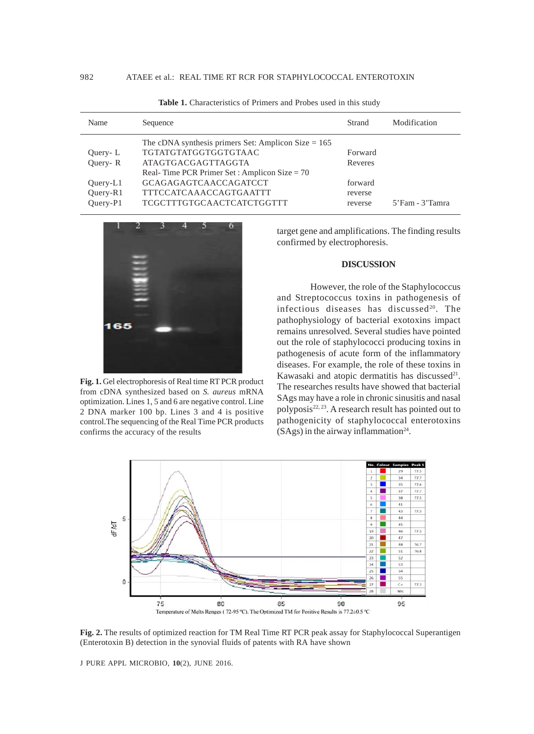| Name                               | Sequence                                                                                                                                              | Strand                        | Modification    |
|------------------------------------|-------------------------------------------------------------------------------------------------------------------------------------------------------|-------------------------------|-----------------|
| Query-L<br>Ouery-R                 | The cDNA synthesis primers Set: Amplicon Size $= 165$<br>TGTATGTATGGTGGTGTAAC<br>ATAGTGACGAGTTAGGTA<br>Real-Time PCR Primer Set: Amplicon Size = $70$ | Forward<br>Reveres            |                 |
| $Query-L1$<br>Ouery-R1<br>Ouery-P1 | <b>GCAGAGAGTCAACCAGATCCT</b><br>TTTCCATCAAACCAGTGAATTT<br><b>TCGCTTTGTGCAACTCATCTGGTTT</b>                                                            | forward<br>reverse<br>reverse | 5'Fam - 3'Tamra |

Table 1. Characteristics of Primers and Probes used in this study



**Fig. 1.** Gel electrophoresis of Real time RT PCR product from cDNA synthesized based on *S. aureus* mRNA optimization. Lines 1, 5 and 6 are negative control. Line 2 DNA marker 100 bp. Lines 3 and 4 is positive control.The sequencing of the Real Time PCR products confirms the accuracy of the results

target gene and amplifications. The finding results confirmed by electrophoresis.

## **DISCUSSION**

However, the role of the Staphylococcus and Streptococcus toxins in pathogenesis of infectious diseases has discussed<sup>20</sup>. The pathophysiology of bacterial exotoxins impact remains unresolved. Several studies have pointed out the role of staphylococci producing toxins in pathogenesis of acute form of the inflammatory diseases. For example, the role of these toxins in Kawasaki and atopic dermatitis has discussed<sup>21</sup>. The researches results have showed that bacterial SAgs may have a role in chronic sinusitis and nasal polyposis<sup>22, 23</sup>. A research result has pointed out to pathogenicity of staphylococcal enterotoxins  $(SAgs)$  in the airway inflammation<sup>24</sup>.



**Fig. 2.** The results of optimized reaction for TM Real Time RT PCR peak assay for Staphylococcal Superantigen (Enterotoxin B) detection in the synovial fluids of patents with RA have shown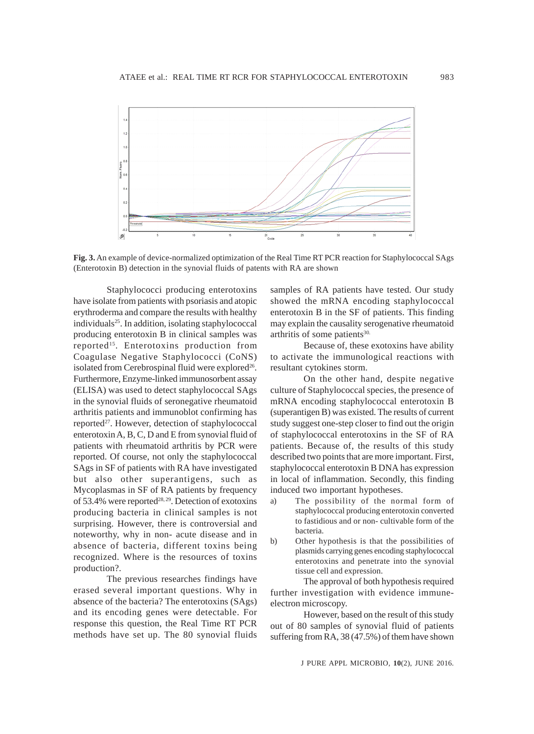

**Fig. 3.** An example of device-normalized optimization of the Real Time RT PCR reaction for Staphylococcal SAgs (Enterotoxin B) detection in the synovial fluids of patents with RA are shown

Staphylococci producing enterotoxins have isolate from patients with psoriasis and atopic erythroderma and compare the results with healthy individuals25. In addition, isolating staphylococcal producing enterotoxin B in clinical samples was reported<sup>15</sup>. Enterotoxins production from Coagulase Negative Staphylococci (CoNS) isolated from Cerebrospinal fluid were explored<sup>26</sup>. Furthermore, Enzyme-linked immunosorbent assay (ELISA) was used to detect staphylococcal SAgs in the synovial fluids of seronegative rheumatoid arthritis patients and immunoblot confirming has reported<sup>27</sup>. However, detection of staphylococcal enterotoxin A, B, C, D and E from synovial fluid of patients with rheumatoid arthritis by PCR were reported. Of course, not only the staphylococcal SAgs in SF of patients with RA have investigated but also other superantigens, such as Mycoplasmas in SF of RA patients by frequency of 53.4% were reported<sup>28, 29</sup>. Detection of exotoxins producing bacteria in clinical samples is not surprising. However, there is controversial and noteworthy, why in non- acute disease and in absence of bacteria, different toxins being recognized. Where is the resources of toxins production?.

The previous researches findings have erased several important questions. Why in absence of the bacteria? The enterotoxins (SAgs) and its encoding genes were detectable. For response this question, the Real Time RT PCR methods have set up. The 80 synovial fluids

samples of RA patients have tested. Our study showed the mRNA encoding staphylococcal enterotoxin B in the SF of patients. This finding may explain the causality serogenative rheumatoid arthritis of some patients<sup>30.</sup>

Because of, these exotoxins have ability to activate the immunological reactions with resultant cytokines storm.

On the other hand, despite negative culture of Staphylococcal species, the presence of mRNA encoding staphylococcal enterotoxin B (superantigen B) was existed. The results of current study suggest one-step closer to find out the origin of staphylococcal enterotoxins in the SF of RA patients. Because of, the results of this study described two points that are more important. First, staphylococcal enterotoxin B DNA has expression in local of inflammation. Secondly, this finding induced two important hypotheses.

- a) The possibility of the normal form of staphylococcal producing enterotoxin converted to fastidious and or non- cultivable form of the bacteria.
- b) Other hypothesis is that the possibilities of plasmids carrying genes encoding staphylococcal enterotoxins and penetrate into the synovial tissue cell and expression.

The approval of both hypothesis required further investigation with evidence immuneelectron microscopy.

However, based on the result of this study out of 80 samples of synovial fluid of patients suffering from RA, 38 (47.5%) of them have shown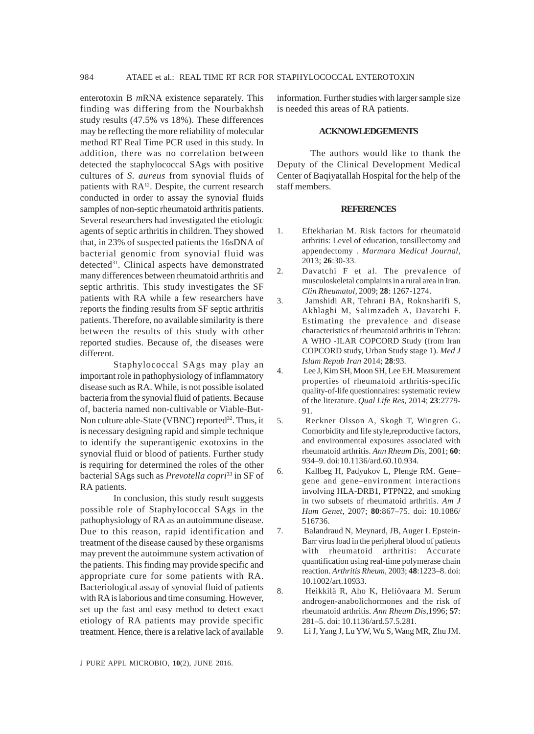984 ATAEE et al.: REAL TIME RT RCR FOR STAPHYLOCOCCAL ENTEROTOXIN

enterotoxin B *m*RNA existence separately. This finding was differing from the Nourbakhsh study results (47.5% vs 18%). These differences may be reflecting the more reliability of molecular method RT Real Time PCR used in this study. In addition, there was no correlation between detected the staphylococcal SAgs with positive cultures of *S. aureus* from synovial fluids of patients with  $RA^{12}$ . Despite, the current research conducted in order to assay the synovial fluids samples of non-septic rheumatoid arthritis patients. Several researchers had investigated the etiologic agents of septic arthritis in children. They showed that, in 23% of suspected patients the 16sDNA of bacterial genomic from synovial fluid was detected<sup>31</sup>. Clinical aspects have demonstrated many differences between rheumatoid arthritis and septic arthritis. This study investigates the SF patients with RA while a few researchers have reports the finding results from SF septic arthritis patients. Therefore, no available similarity is there between the results of this study with other reported studies. Because of, the diseases were different.

Staphylococcal SAgs may play an important role in pathophysiology of inflammatory disease such as RA. While, is not possible isolated bacteria from the synovial fluid of patients. Because of, bacteria named non-cultivable or Viable-But-Non culture able-State (VBNC) reported<sup>32</sup>. Thus, it is necessary designing rapid and simple technique to identify the superantigenic exotoxins in the synovial fluid or blood of patients. Further study is requiring for determined the roles of the other bacterial SAgs such as *Prevotella copri*33 in SF of RA patients.

In conclusion, this study result suggests possible role of Staphylococcal SAgs in the pathophysiology of RA as an autoimmune disease. Due to this reason, rapid identification and treatment of the disease caused by these organisms may prevent the autoimmune system activation of the patients. This finding may provide specific and appropriate cure for some patients with RA. Bacteriological assay of synovial fluid of patients with RA is laborious and time consuming. However, set up the fast and easy method to detect exact etiology of RA patients may provide specific treatment. Hence, there is a relative lack of available information. Further studies with larger sample size is needed this areas of RA patients.

## **ACKNOWLEDGEMENTS**

The authors would like to thank the Deputy of the Clinical Development Medical Center of Baqiyatallah Hospital for the help of the staff members.

## **REFERENCES**

- 1. Eftekharian M. Risk factors for rheumatoid arthritis: Level of education, tonsillectomy and appendectomy *. Marmara Medical Journal,* 2013; **26**:30-33.
- 2. Davatchi F et al. The prevalence of musculoskeletal complaints in a rural area in Iran. *Clin Rheumatol,* 2009; **28**: 1267-1274.
- 3. Jamshidi AR, Tehrani BA, Roknsharifi S, Akhlaghi M, Salimzadeh A, Davatchi F. Estimating the prevalence and disease characteristics of rheumatoid arthritis in Tehran: A WHO -ILAR COPCORD Study (from Iran COPCORD study, Urban Study stage 1). *Med J Islam Repub Iran* 2014; **28**:93.
- 4. Lee J, Kim SH, Moon SH, Lee EH. Measurement properties of rheumatoid arthritis-specific quality-of-life questionnaires: systematic review of the literature. *Qual Life Res,* 2014; **23**:2779- 91.
- 5. Reckner Olsson A, Skogh T, Wingren G. Comorbidity and life style,reproductive factors, and environmental exposures associated with rheumatoid arthritis. *Ann Rheum Dis,* 2001; **60**: 934–9. doi:10.1136/ard.60.10.934.
- 6. Kallbeg H, Padyukov L, Plenge RM. Gene– gene and gene–environment interactions involving HLA-DRB1, PTPN22, and smoking in two subsets of rheumatoid arthritis. *Am J Hum Genet,* 2007; **80**:867–75. doi: 10.1086/ 516736.
- 7. Balandraud N, Meynard, JB, Auger I. Epstein-Barr virus load in the peripheral blood of patients with rheumatoid arthritis: Accurate quantification using real-time polymerase chain reaction. *Arthritis Rheum,* 2003; **48**:1223–8. doi: 10.1002/art.10933.
- 8. Heikkilä R, Aho K, Heliövaara M. Serum androgen-anabolichormones and the risk of rheumatoid arthritis. *Ann Rheum Dis,*1996; **57**: 281–5. doi: 10.1136/ard.57.5.281.

9. Li J, Yang J, Lu YW, Wu S, Wang MR, Zhu JM.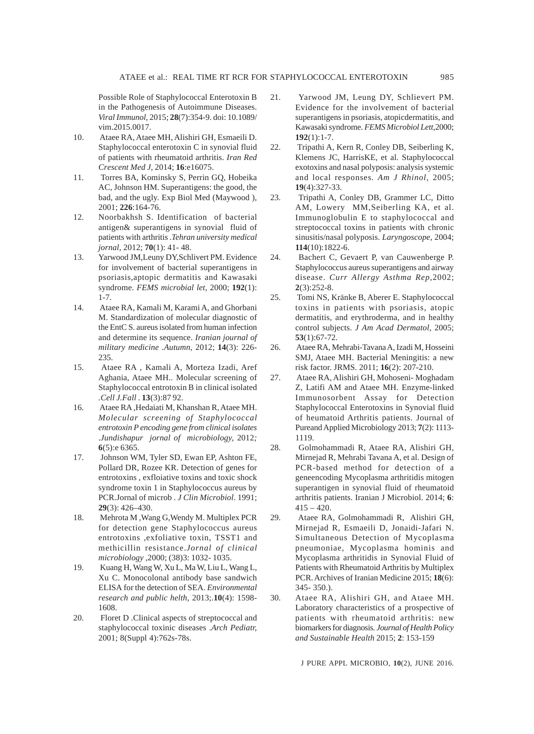Possible Role of Staphylococcal Enterotoxin B in the Pathogenesis of Autoimmune Diseases. *Viral Immunol,* 2015; **28**(7):354-9. doi: 10.1089/ vim.2015.0017.

- 10. Ataee RA, Ataee MH, Alishiri GH, Esmaeili D. Staphylococcal enterotoxin C in synovial fluid of patients with rheumatoid arthritis. *Iran Red Crescent Med J,* 2014; **16**:e16075.
- 11. Torres BA, Kominsky S, Perrin GQ, Hobeika AC, Johnson HM. Superantigens: the good, the bad, and the ugly. Exp Biol Med (Maywood ), 2001; **226**:164-76.
- 12. Noorbakhsh S. Identification of bacterial antigen& superantigens in synovial fluid of patients with arthritis .*Tehran university medical jornal*, 2012; **70**(1): 41- 48.
- 13. Yarwood JM,Leuny DY,Schlivert PM. Evidence for involvement of bacterial superantigens in psoriasis,aptopic dermatitis and Kawasaki syndrome. *FEMS microbial let*, 2000; **192**(1): 1-7.
- 14. Ataee RA, Kamali M, Karami A, and Ghorbani M. Standardization of molecular diagnostic of the EntC S. aureus isolated from human infection and determine its sequence. *Iranian journal of military medicine .Autumn,* 2012; **14**(3): 226- 235.
- 15. Ataee RA , Kamali A, Morteza Izadi, Aref Aghania, Ataee MH.. Molecular screening of Staphylococcal entrotoxin B in clinical isolated *.Cell J.Fall* . **13**(3):87 92.
- 16. Ataee RA ,Hedaiati M, Khanshan R, Ataee MH. *Molecular screening of Staphylococcal entrotoxin P encoding gene from clinical isolates* .*Jundishapur jornal of microbiology,* 2012*;* **6**(5):e 6365.
- 17. Johnson WM, Tyler SD, Ewan EP, Ashton FE, Pollard DR, Rozee KR. Detection of genes for entrotoxins , exfloiative toxins and toxic shock syndrome toxin 1 in Staphylococcus aureus by PCR.Jornal of microb . *J Clin Microbiol*. 1991; **29**(3): 426–430.
- 18. Mehrota M ,Wang G,Wendy M. Multiplex PCR for detection gene Staphylococcus aureus entrotoxins ,exfoliative toxin, TSST1 and methicillin resistance.*Jornal of clinical microbiology* ,2000; (38)3: 1032- 1035.
- 19. Kuang H, Wang W, Xu L, Ma W, Liu L, Wang L, Xu C. Monocolonal antibody base sandwich ELISA for the detection of SEA. *Environmental research and public helth*, 2013;.**10**(4): 1598- 1608.
- 20. Floret D .Clinical aspects of streptococcal and staphylococcal toxinic diseases .*Arch Pediatr,* 2001; 8(Suppl 4):762s-78s.
- 21. Yarwood JM, Leung DY, Schlievert PM. Evidence for the involvement of bacterial superantigens in psoriasis, atopicdermatitis, and Kawasaki syndrome. *FEMS Microbiol Lett,*2000; **192**(1):1-7.
- 22. Tripathi A, Kern R, Conley DB, Seiberling K, Klemens JC, HarrisKE, et al. Staphylococcal exotoxins and nasal polyposis: analysis systemic and local responses*. Am J Rhinol,* 2005; **19**(4):327-33.
- 23. Tripathi A, Conley DB, Grammer LC, Ditto AM, Lowery MM,Seiberling KA, et al. Immunoglobulin E to staphylococcal and streptococcal toxins in patients with chronic sinusitis/nasal polyposis. *Laryngoscope,* 2004; **114**(10):1822-6.
- 24. Bachert C, Gevaert P, van Cauwenberge P. Staphylococcus aureus superantigens and airway disease. *Curr Allergy Asthma Rep,*2002; **2**(3):252-8.
- 25. Tomi NS, Kränke B, Aberer E. Staphylococcal toxins in patients with psoriasis, atopic dermatitis, and erythroderma, and in healthy control subjects. *J Am Acad Dermatol*, 2005; **53**(1):67-72.
- 26. Ataee RA, Mehrabi-Tavana A, Izadi M, Hosseini SMJ, Ataee MH. Bacterial Meningitis: a new risk factor. JRMS. 2011; **16**(2): 207-210.
- 27. Ataee RA, Alishiri GH, Mohoseni- Moghadam Z, Latifi AM and Ataee MH. Enzyme-linked Immunosorbent Assay for Detection Staphylococcal Enterotoxins in Synovial fluid of heumatoid Arthritis patients. Journal of Pureand Applied Microbiology 2013; **7**(2): 1113- 1119.
- 28. Golmohammadi R, Ataee RA, Alishiri GH, Mirnejad R, Mehrabi Tavana A, et al. Design of PCR-based method for detection of a geneencoding Mycoplasma arthritidis mitogen superantigen in synovial fluid of rheumatoid arthritis patients. Iranian J Microbiol. 2014; **6**:  $415 - 420$ .
- 29. Ataee RA, Golmohammadi R, Alishiri GH, Mirnejad R, Esmaeili D, Jonaidi-Jafari N. Simultaneous Detection of Mycoplasma pneumoniae, Mycoplasma hominis and Mycoplasma arthritidis in Synovial Fluid of Patients with Rheumatoid Arthritis by Multiplex PCR. Archives of Iranian Medicine 2015; **18**(6): 345- 350.).
- 30. Ataee RA, Alishiri GH, and Ataee MH. Laboratory characteristics of a prospective of patients with rheumatoid arthritis: new biomarkers for diagnosis. *Journal of Health Policy and Sustainable Health* 2015; **2**: 153-159